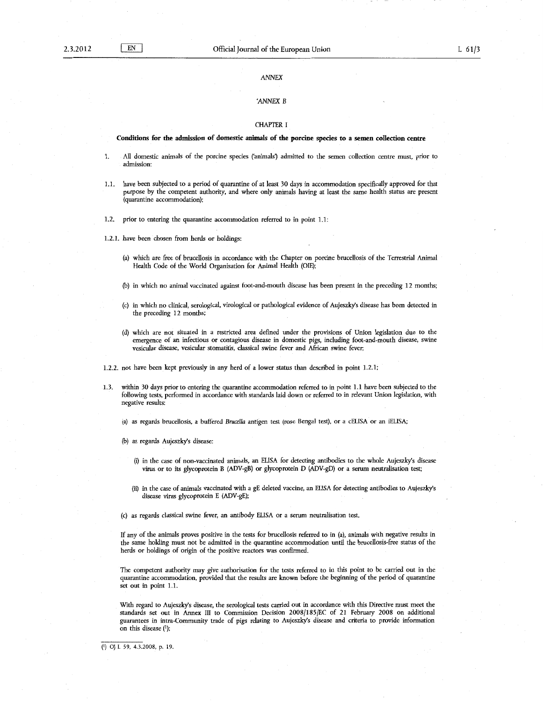## ANNEX

# 'ANNEX B

#### CHAPTER I

#### **Conditions for the admission of domestic animals of the porcine species to a semen collection centre**

- 1. All domestic animals of the porcine species ('animals') admitted to the semen collection centre must, prior to admission:
- 1.1. have been subjected to a period of quarantine of at least 30 days in accommodation specifically approved for that purpose by the competent authority, and where only animals having at least the same health status are present (quarantine accommodation);
- 1.2. prior to entering the quarantine accommodation referred to in point 1.1:
- 1.2.1. have been chosen from herds or holdings:
	- (a) which are free of brucellosis in accordance with the Chapter on porcine brucellosis of the Terrestrial Animal Health Code of the World Organisation for Animal Health (OIE);
	- (b) in which no animal vaccinated against foot-and-mouth disease has been present in the preceding 12 months;
	- (c) in which no clinical, serological, virological or pathological evidence of Aujeszky's disease has been detected in the preceding 12 months;
	- (d) which are not situated in a restricted area defmed under the provisions of Union legislation due to the emergence of an infectious or contagious disease in domestic pigs, including foot-and-mouth disease, swine vesicular disease, vesicular stomatitis, classical swine fever and African swine fever;
- 1.2.2. not have been kept previously in any herd of a lower status than described in point 1.2.1;
- .1.3. within 30 days prior to entering the quarantine accommodation referred to in point 1.1 have been subjected to the following tests, performed in accordance with standards laid down or referred to in relevant Union legislation, with negative results:
	- (a) as regards brucellosis, a buffered *Brucella* antigen test (rose Bengal test), or a cELISA or an iELISA;
	- (b) as regards Aujeszky's disease:
		- (i) in the case of non-vaccinated animals, an ELISA for detecting antibodies to the whole Aujeszky's disease virus or to its glycoprotein B (ADV-gB) or glycoprotein D (ADV-gD) or a serum neutralisation test;
		- (ii) in the case of animals vaccinated with a gE deleted vaccine, an ELISA for detecting antibodies to Aujeszky's disease virus glycoprotein E (ADV-gE);
	- (c) as regards classical swine fever, an antibody ELISA or a serum neutralisation test.

If any of the animals proves positive in the tests for brucellosis referred to in (a), animals with negative results in the same holding must not be admitted in the quarantine accommodation until the brucellosis-free status of the herds or holdings of origin of the positive reactors was confirmed.

The competent authority may give authorisation for the tests referred to in this point to be carried out in the quarantine accommodation, provided that the results are known before the beginning of the period of quarantine set out in point 1.1.

With regard to Aujeszky's disease, the serological tests carried out in accordance with this Directive must meet the standards set out in Annex III to Commission Decision 2008/185/EC of 21 February 2008 on additional guarantees in intra-Community trade of pigs relating to Aujeszky's disease and criteria to provide information on this disease  $(1)$ ;

( 1) OJ L 59, 4.3.2008, p. 19.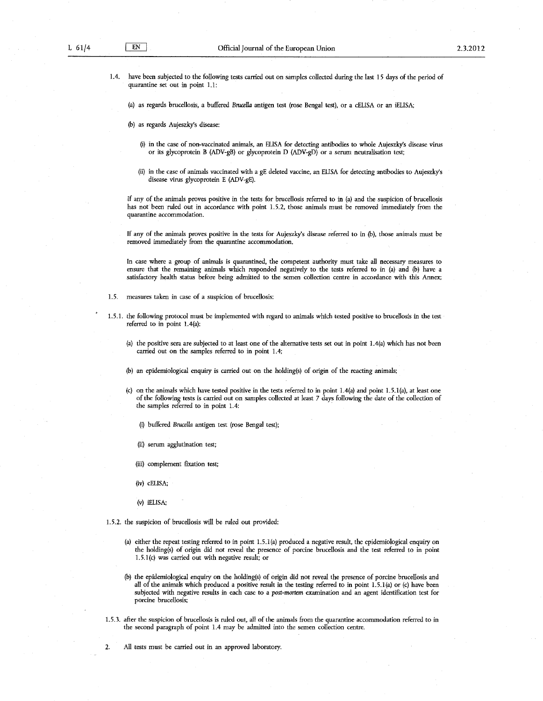1.4. have been subjected to the following tests carried out on samples collected during the last 15 days of the period of quarantine set out in point 1.1:

(a) as regards brucellosis, a buffered Brucella antigen test (rose Bengal test), or a cELISA or an iELISA;

(b) as regards Aujeszky's disease:

- (i) in the case of non-vaccinated animals, an ELISA for detecting antibodies to whole Aujeszky's disease virus or its glycoprotein B (ADV-gB) or glycoprotein D (ADV-gD) or a serum neutralisation test;
- (ii) in the case of animals vaccinated with a gE deleted vaccine, an ELISA for detecting antibodies to Aujeszky's disease virus glycoprotein E (ADV-gE).

If any of the animals proves positive in the tests for brucellosis referred to in (a) and the suspicion of brucellosis has not been ruled out in accordance with point 1.5.2, those animals must be removed immediately from the quarantine accommodation.

If any of the animals proves positive in the tests for Aujeszky's disease referred to in (b), those animals must be removed immediately from the quarantine accommodation.

In case where a group of animals is quarantined, the competent authority must take all necessaty measures to ensure that the remaining animals which responded negatively to the tests referred to in (a) and (b) have a satisfactory health status before being admitted to the semen collection centre in accordance with this Annex;

- 1.5. measures taken in case of a suspicion of brucellosis:
- 1.5.1. the following protocol must be implemented with regard to animals which tested positive to brucellosis in the test referred to in point 1.4(a):
	- (a) the positive sera are subjected to at least one of the alternative tests set out in point 1.4(a) which has not been carried out on the samples referred to in point 1.4;
	- (b) an epidemiological enquiry is carried out on the holding(s) of origin of the reacting animals;
	- (c) on the animals which have tested positive in the tests referred to in point 1.4(a) and point 1.5.1(a), at least one of the following tests is carried out on samples collected at least 7 days following the date of the collection of the samples referred to in point 1.4:
		- (i) buffered *Brucella* antigen test (rose Bengal test);
		- (ii) serum agglutination test;
		- (iii) complement fixation test;
		- (iv) cELISA;
		- (v) iEL!SA;
- 1.5.2. the suspicion of brucellosis will be ruled out provided:
	- (a) either the repeat testing referred to in point 1.5.1 (a) produced a negative result, the epidemiological enquity on the holding(s) of origin did not reveal the presence of porcine brucellosis and the test referred to in point 1.5.1(c) was carried out with negative result; or
	- (b) the epidemiological enquity on the holding(s) of origin did not reveal the presence of porcine brucellosis and all of the animals which produced a positive result in the testing referred to in point 1.5.1(a) or (c) have been subjected with negative results in each case to a post-mortem examination and an agent identification test for porcine brucellosis;
- 1.5.3. after the suspicion of brucellosis is ruled out, all of the animals from the quarantine accommodation referred to in the second paragraph of point 1.4 may be admitted into the semen collection centre.
- 2. All tests must be carried out in an approved laboratory.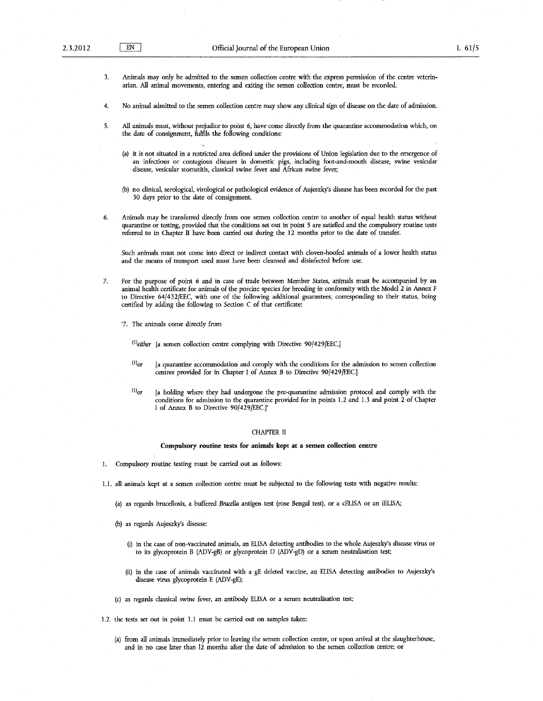3. Animals may only be admitted to the semen collection centre with the express permission of the centre veterinarian. All animal movements, entering and exiting the semen collection centre, must be recorded.

4. No animal admitted to the semen collection centre may show any clinical sign of disease on the date of admission.

- *5.* All animals must, without prejudice to point 6, have come direcdy from the quarantine accommodation which, on the date of consignment, fulfils the following conditions:
	- (a) it is not situated in a restricted area defined under the provisions of Union legislation due to the emergence of an infectious or contagious diseases in domestic pigs, including foot-and-mouth disease, swine vesicular disease, vesicular stomatitis, classical swine fever and African swine fever;
	- (b) no clinical, serological, virological or pathological evidence of Aujeszky's disease has been recorded for the past 30 days prior to the date of consignment.
- 6. Animals may be transferred direcdy from one semen collection centre to another of equal health status without quarantine or testing, provided that the conditions set out in point *5* are satisfied and the compulsory routine tests referred to in Chapter II have been carried out during the 12 months prior to the date of transfer.

Such animals must not come into direct or indirect contact with cloven-hoofed animals of a lower health status and the means of transport used must have been cleansed and disinfected before use.

- 7. For the purpose of point 6 and in case of trade between Member States, animals must be accompanied by an animal health certificate for animals of the porcine species for breeding in conformity with the Model 2 in Annex F to Directive 64/432/EEC, with one of the following additional guarantees, corresponding to their status, being certified by adding the following to Section C of that certificate:
	- '7. The animals come directly from

 $^{(1)}$ either [a semen collection centre complying with Directive 90/429/EEC.]

- $(1)$ <sub>or</sub> [a quarantine accommodation and comply with the conditions for the admission to semen collection centres provided for in Chapter I of Annex B to Directive 90/429/EEC.]
- $(1)$ or [a holding where they had undergone the pre-quarantine admission protocol and comply with the conditions for admission to the quarantine provided for in points 1.2 and 1.3 and point 2 of Chapter I of Annex B to Directive 90/429/EEC.]'

## CHAPTER II

### Compulsory routine tests for animals kept at a semen collection centre

1. Compulsory routine testing must be carried out as follows:

1.1. all animals kept at a semen collection centre must be subjected to the following tests with negative results:

(a) as regards brucellosis, a buffered *Brucella* antigen test (rose Bengal test), or a cELISA or an iELISA;

- (b) as regards Aujeszky's disease:
	- (i) in the case of non-vaccinated animals, an ELISA detecting antibodies to the whole Aujeszky's disease virus or to its glycoprotein B (ADV-gB) or glycoprotein D (ADV-gD) or a serum neutralisation test;
	- (ii) in the case of animals vaccinated with a gE deleted vaccine, an ELISA detecting antibodies to Aujeszky's disease virus glycoprotein E (ADV-gE);
- (c) as regards classical swine fever, an antibody ELISA or a serum neutralisation test;
- 1.2. the tests set out in point Ll must be carried out on samples taken:
	- (a) from all animals immediately prior to leaving the semen collection centre, or upon arrival at the slaughterhouse, and in no case later than 12 months after the date of admission to the semen collection centre: or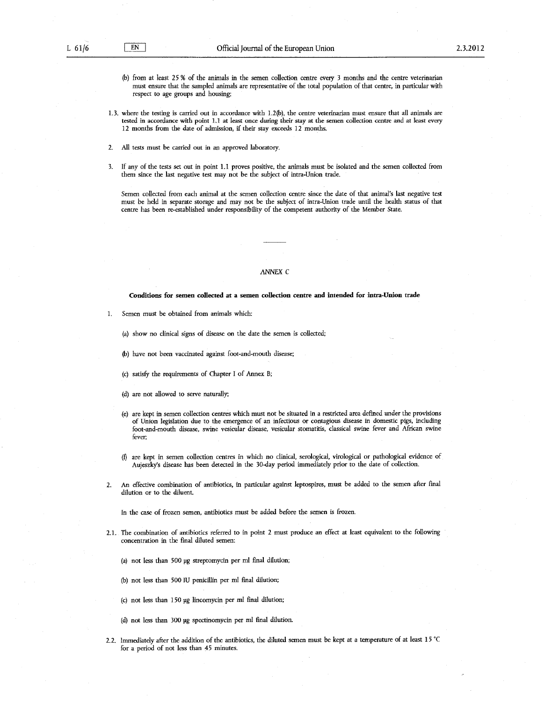- (b) from at least 25% of the animals in the semen collection centre every 3 months and the centre veterinarian must ensure that the sampled animals are representative of the total population of that centre, in particular with respect to age groups and housing;
- 1.3. where the testing is carried out in accordance with L2(b), the centre veterinarian must ensure that all animals are tested in accordance with point 1.1 at least once during their stay at the semen collection centre and at least every 12 months from the date of admission, if their stay exceeds 12 months.
- 2. All tests must be carried out in an approved laboratory.
- 3. If any of the tests set out in point 1.1 proves positive, the animals must be isolated and the semen collected from them since the last negative test may not be the subject of intra-Union trade.

Semen collected from each animal at the semen collection centre since the date of that animal's last negative test must be held in separate storage and may not be the subject of intra-Union trade until the health status of that centre has been re-established under responsibility of the competent authority of the Member State.

## ANNEX C

**Conditions for semen collected at a semen collection centre and intended for intra-Union trade** 

L Semen must be obtained from animals which:

(a) show no clinical signs of disease on the date the semen is collected;

- (b) have not been vaccinated against foot-and-mouth disease;
- (c) satisfy the requirements of Chapter I of Annex B;
- (d) are not allowed to serve naturally;
- (e) are kept in semen collection centres which must not be situated in a restricted area defined under the provisions of Union legislation due to the emergence of an infectious or contagious disease in domestic pigs, including foot-and-mouth disease, swine vesicular disease, vesicular stomatitis, classical swine fever and African swine fever:
- (f) are kept in semen collection centres in which no clinical, serological, virological or pathological evidence of Aujeszky's disease has been detected in the 30-day period immediately prior to the date of collection.
- 2. An effective combination of antibiotics, in particular against leptospires, must be added to the semen after fmal dilution or to the diluent.

In the case of frozen semen, antibiotics must be added before the semen is frozen.

2.1. The combination of antibiotics referred to in point 2 must produce an effect at least equivalent to the following concentration in the final diluted semen:

(a) not less than 500 pg streptomycin per rnl final dilution;

(b) not less than 500 IU penicillin per rnl final dilution;

- (c) not less than 150 *pg* lincomycin per rnl final dilution;
- (d) not less than 300 *pg* spectinomycin per rnl final dilution.
- 2.2. Immediately after the addition of the antibiotics, the diluted semen must be kept at a temperature of at least  $15^{\circ}$ C for a period of not less than 45 minutes.